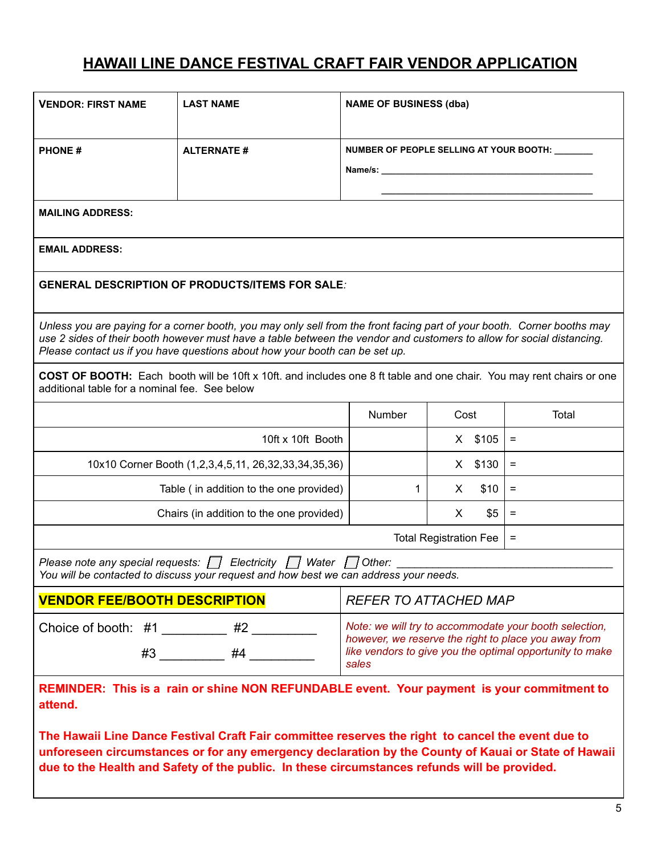## **HAWAII LINE DANCE FESTIVAL CRAFT FAIR VENDOR APPLICATION**

| <b>VENDOR: FIRST NAME</b>                                                                                                                                                                                                                                                                                                       | <b>LAST NAME</b>                                                                       | <b>NAME OF BUSINESS (dba)</b>                                                                                                                                                                                                                                                   |           |          |       |
|---------------------------------------------------------------------------------------------------------------------------------------------------------------------------------------------------------------------------------------------------------------------------------------------------------------------------------|----------------------------------------------------------------------------------------|---------------------------------------------------------------------------------------------------------------------------------------------------------------------------------------------------------------------------------------------------------------------------------|-----------|----------|-------|
| <b>PHONE#</b>                                                                                                                                                                                                                                                                                                                   | <b>ALTERNATE#</b>                                                                      | <b>NUMBER OF PEOPLE SELLING AT YOUR BOOTH:</b><br>Name/s: Name and the state of the state of the state of the state of the state of the state of the state of the state of the state of the state of the state of the state of the state of the state of the state of the state |           |          |       |
| <b>MAILING ADDRESS:</b>                                                                                                                                                                                                                                                                                                         |                                                                                        |                                                                                                                                                                                                                                                                                 |           |          |       |
| <b>EMAIL ADDRESS:</b>                                                                                                                                                                                                                                                                                                           |                                                                                        |                                                                                                                                                                                                                                                                                 |           |          |       |
| <b>GENERAL DESCRIPTION OF PRODUCTS/ITEMS FOR SALE:</b>                                                                                                                                                                                                                                                                          |                                                                                        |                                                                                                                                                                                                                                                                                 |           |          |       |
| Unless you are paying for a corner booth, you may only sell from the front facing part of your booth. Corner booths may<br>use 2 sides of their booth however must have a table between the vendor and customers to allow for social distancing.<br>Please contact us if you have questions about how your booth can be set up. |                                                                                        |                                                                                                                                                                                                                                                                                 |           |          |       |
| COST OF BOOTH: Each booth will be 10ft x 10ft. and includes one 8 ft table and one chair. You may rent chairs or one<br>additional table for a nominal fee. See below                                                                                                                                                           |                                                                                        |                                                                                                                                                                                                                                                                                 |           |          |       |
|                                                                                                                                                                                                                                                                                                                                 |                                                                                        | Number                                                                                                                                                                                                                                                                          | Cost      |          | Total |
|                                                                                                                                                                                                                                                                                                                                 | 10ft x 10ft Booth                                                                      |                                                                                                                                                                                                                                                                                 | X \$105   | $=$      |       |
| 10x10 Corner Booth (1,2,3,4,5,11, 26,32,33,34,35,36)                                                                                                                                                                                                                                                                            |                                                                                        |                                                                                                                                                                                                                                                                                 | $X$ \$130 | $=$      |       |
| Table (in addition to the one provided)                                                                                                                                                                                                                                                                                         | 1                                                                                      | X.                                                                                                                                                                                                                                                                              | \$10      | $\equiv$ |       |
| Chairs (in addition to the one provided)                                                                                                                                                                                                                                                                                        |                                                                                        | X.                                                                                                                                                                                                                                                                              | \$5       | $\equiv$ |       |
| <b>Total Registration Fee</b>                                                                                                                                                                                                                                                                                                   |                                                                                        |                                                                                                                                                                                                                                                                                 |           |          | $=$   |
| Electricity $\Box$<br>Water $\bigcup$ Other:<br>Please note any special requests: $\Box$<br>You will be contacted to discuss your request and how best we can address your needs.                                                                                                                                               |                                                                                        |                                                                                                                                                                                                                                                                                 |           |          |       |
| <b>VENDOR FEE/BOOTH DESCRIPTION</b><br><b>REFER TO ATTACHED MAP</b>                                                                                                                                                                                                                                                             |                                                                                        |                                                                                                                                                                                                                                                                                 |           |          |       |
|                                                                                                                                                                                                                                                                                                                                 | Choice of booth: #1 _________ #2 ________<br>$\#3$ $\qquad \qquad \#4$ $\qquad \qquad$ | Note: we will try to accommodate your booth selection,<br>however, we reserve the right to place you away from<br>like vendors to give you the optimal opportunity to make<br>sales                                                                                             |           |          |       |
| REMINDER: This is a rain or shine NON REFUNDABLE event. Your payment is your commitment to<br>attend.                                                                                                                                                                                                                           |                                                                                        |                                                                                                                                                                                                                                                                                 |           |          |       |
| The Hawaii Line Dance Festival Craft Fair committee reserves the right to cancel the event due to<br>unforeseen circumstances or for any emergency declaration by the County of Kauai or State of Hawaii<br>due to the Health and Safety of the public. In these circumstances refunds will be provided.                        |                                                                                        |                                                                                                                                                                                                                                                                                 |           |          |       |